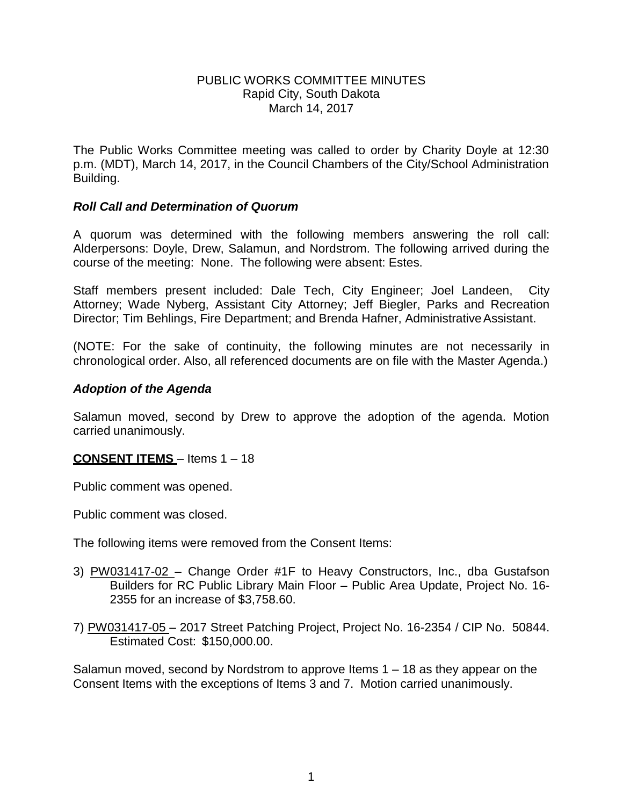### PUBLIC WORKS COMMITTEE MINUTES Rapid City, South Dakota March 14, 2017

The Public Works Committee meeting was called to order by Charity Doyle at 12:30 p.m. (MDT), March 14, 2017, in the Council Chambers of the City/School Administration Building.

### *Roll Call and Determination of Quorum*

A quorum was determined with the following members answering the roll call: Alderpersons: Doyle, Drew, Salamun, and Nordstrom. The following arrived during the course of the meeting: None. The following were absent: Estes.

Staff members present included: Dale Tech, City Engineer; Joel Landeen, City Attorney; Wade Nyberg, Assistant City Attorney; Jeff Biegler, Parks and Recreation Director; Tim Behlings, Fire Department; and Brenda Hafner, Administrative Assistant.

(NOTE: For the sake of continuity, the following minutes are not necessarily in chronological order. Also, all referenced documents are on file with the Master Agenda.)

## *Adoption of the Agenda*

Salamun moved, second by Drew to approve the adoption of the agenda. Motion carried unanimously.

## **CONSENT ITEMS** – Items 1 – 18

Public comment was opened.

Public comment was closed.

The following items were removed from the Consent Items:

- 3) PW031417-02 Change Order #1F to Heavy Constructors, Inc., dba Gustafson Builders for RC Public Library Main Floor – Public Area Update, Project No. 16- 2355 for an increase of \$3,758.60.
- 7) PW031417-05 2017 Street Patching Project, Project No. 16-2354 / CIP No. 50844. Estimated Cost: \$150,000.00.

Salamun moved, second by Nordstrom to approve Items 1 – 18 as they appear on the Consent Items with the exceptions of Items 3 and 7. Motion carried unanimously.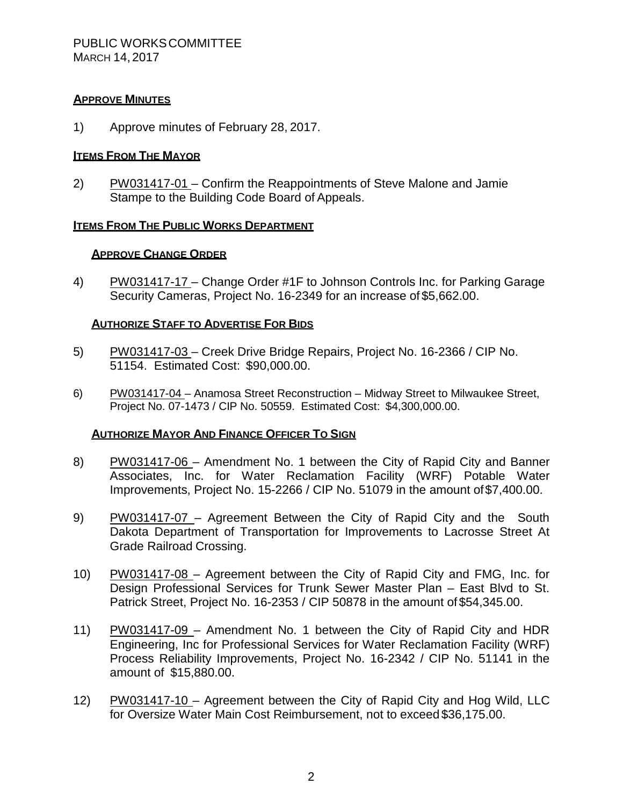### **APPROVE MINUTES**

1) Approve minutes of February 28, 2017.

### **ITEMS FROM THE MAYOR**

2) PW031417-01 – Confirm the Reappointments of Steve Malone and Jamie Stampe to the Building Code Board of Appeals.

### **ITEMS FROM THE PUBLIC WORKS DEPARTMENT**

### **APPROVE CHANGE ORDER**

4) PW031417-17 – Change Order #1F to Johnson Controls Inc. for Parking Garage Security Cameras, Project No. 16-2349 for an increase of \$5,662.00.

### **AUTHORIZE STAFF TO ADVERTISE FOR BIDS**

- 5) PW031417-03 Creek Drive Bridge Repairs, Project No. 16-2366 / CIP No. 51154. Estimated Cost: \$90,000.00.
- 6) PW031417-04 Anamosa Street Reconstruction Midway Street to Milwaukee Street, Project No. 07-1473 / CIP No. 50559. Estimated Cost: \$4,300,000.00.

### **AUTHORIZE MAYOR AND FINANCE OFFICER TO SIGN**

- 8) PW031417-06 Amendment No. 1 between the City of Rapid City and Banner Associates, Inc. for Water Reclamation Facility (WRF) Potable Water Improvements, Project No. 15-2266 / CIP No. 51079 in the amount of\$7,400.00.
- 9) PW031417-07 Agreement Between the City of Rapid City and the South Dakota Department of Transportation for Improvements to Lacrosse Street At Grade Railroad Crossing.
- 10) PW031417-08 Agreement between the City of Rapid City and FMG, Inc. for Design Professional Services for Trunk Sewer Master Plan – East Blvd to St. Patrick Street, Project No. 16-2353 / CIP 50878 in the amount of \$54,345.00.
- 11) PW031417-09 Amendment No. 1 between the City of Rapid City and HDR Engineering, Inc for Professional Services for Water Reclamation Facility (WRF) Process Reliability Improvements, Project No. 16-2342 / CIP No. 51141 in the amount of \$15,880.00.
- 12) PW031417-10 Agreement between the City of Rapid City and Hog Wild, LLC for Oversize Water Main Cost Reimbursement, not to exceed \$36,175.00.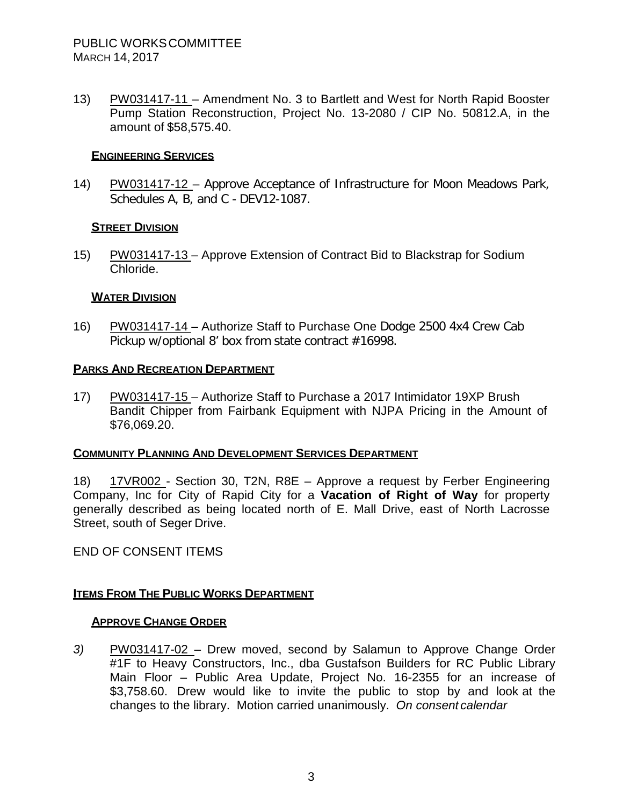13) PW031417-11 – Amendment No. 3 to Bartlett and West for North Rapid Booster Pump Station Reconstruction, Project No. 13-2080 / CIP No. 50812.A, in the amount of \$58,575.40.

## **ENGINEERING SERVICES**

14) PW031417-12 - Approve Acceptance of Infrastructure for Moon Meadows Park, Schedules A, B, and C - DEV12-1087.

## **STREET DIVISION**

15) PW031417-13 – Approve Extension of Contract Bid to Blackstrap for Sodium Chloride.

## **WATER DIVISION**

16) PW031417-14 – Authorize Staff to Purchase One Dodge 2500 4x4 Crew Cab Pickup w/optional 8' box from state contract #16998.

## **PARKS AND RECREATION DEPARTMENT**

17) PW031417-15 – Authorize Staff to Purchase a 2017 Intimidator 19XP Brush Bandit Chipper from Fairbank Equipment with NJPA Pricing in the Amount of \$76,069.20.

## **COMMUNITY PLANNING AND DEVELOPMENT SERVICES DEPARTMENT**

18) 17VR002 - Section 30, T2N, R8E – Approve a request by Ferber Engineering Company, Inc for City of Rapid City for a **Vacation of Right of Way** for property generally described as being located north of E. Mall Drive, east of North Lacrosse Street, south of Seger Drive.

END OF CONSENT ITEMS

## **ITEMS FROM THE PUBLIC WORKS DEPARTMENT**

## **APPROVE CHANGE ORDER**

*3)* PW031417-02 – Drew moved, second by Salamun to Approve Change Order #1F to Heavy Constructors, Inc., dba Gustafson Builders for RC Public Library Main Floor – Public Area Update, Project No. 16-2355 for an increase of \$3,758.60. Drew would like to invite the public to stop by and look at the changes to the library. Motion carried unanimously. *On consent calendar*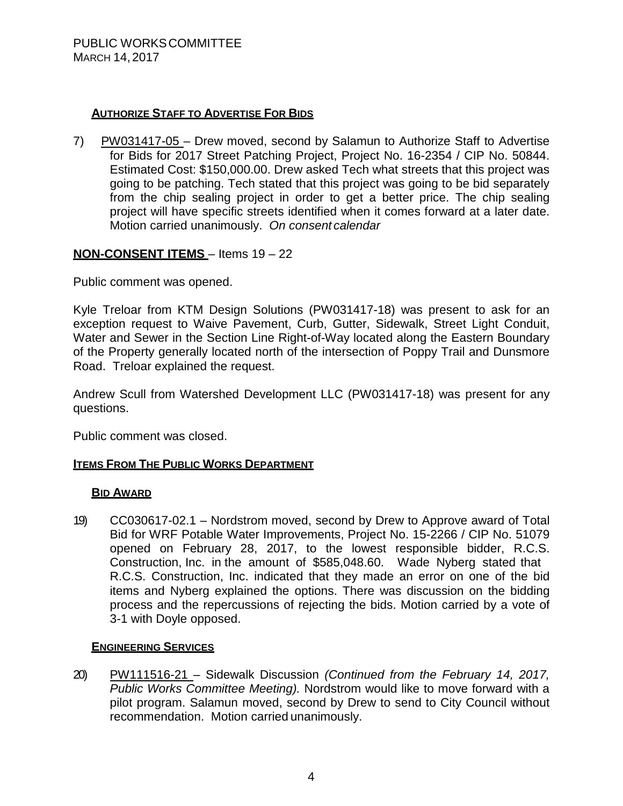## **AUTHORIZE STAFF TO ADVERTISE FOR BIDS**

7) PW031417-05 – Drew moved, second by Salamun to Authorize Staff to Advertise for Bids for 2017 Street Patching Project, Project No. 16-2354 / CIP No. 50844. Estimated Cost: \$150,000.00. Drew asked Tech what streets that this project was going to be patching. Tech stated that this project was going to be bid separately from the chip sealing project in order to get a better price. The chip sealing project will have specific streets identified when it comes forward at a later date. Motion carried unanimously. *On consent calendar*

## **NON-CONSENT ITEMS** – Items 19 – 22

Public comment was opened.

Kyle Treloar from KTM Design Solutions (PW031417-18) was present to ask for an exception request to Waive Pavement, Curb, Gutter, Sidewalk, Street Light Conduit, Water and Sewer in the Section Line Right-of-Way located along the Eastern Boundary of the Property generally located north of the intersection of Poppy Trail and Dunsmore Road. Treloar explained the request.

Andrew Scull from Watershed Development LLC (PW031417-18) was present for any questions.

Public comment was closed.

## **ITEMS FROM THE PUBLIC WORKS DEPARTMENT**

## **BID AWARD**

19) CC030617-02.1 – Nordstrom moved, second by Drew to Approve award of Total Bid for WRF Potable Water Improvements, Project No. 15-2266 / CIP No. 51079 opened on February 28, 2017, to the lowest responsible bidder, R.C.S. Construction, Inc. in the amount of \$585,048.60. Wade Nyberg stated that R.C.S. Construction, Inc. indicated that they made an error on one of the bid items and Nyberg explained the options. There was discussion on the bidding process and the repercussions of rejecting the bids. Motion carried by a vote of 3-1 with Doyle opposed.

## **ENGINEERING SERVICES**

20) PW111516-21 – Sidewalk Discussion *(Continued from the February 14, 2017, Public Works Committee Meeting).* Nordstrom would like to move forward with a pilot program. Salamun moved, second by Drew to send to City Council without recommendation. Motion carried unanimously.